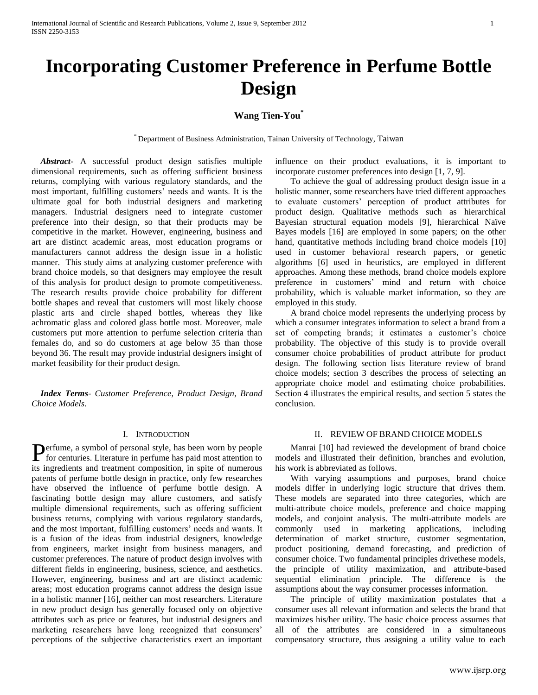# **Incorporating Customer Preference in Perfume Bottle Design**

# **Wang Tien-You\***

\* Department of Business Administration, Tainan University of Technology, Taiwan

 *Abstract***-** A successful product design satisfies multiple dimensional requirements, such as offering sufficient business returns, complying with various regulatory standards, and the most important, fulfilling customers' needs and wants. It is the ultimate goal for both industrial designers and marketing managers. Industrial designers need to integrate customer preference into their design, so that their products may be competitive in the market. However, engineering, business and art are distinct academic areas, most education programs or manufacturers cannot address the design issue in a holistic manner. This study aims at analyzing customer preference with brand choice models, so that designers may employee the result of this analysis for product design to promote competitiveness. The research results provide choice probability for different bottle shapes and reveal that customers will most likely choose plastic arts and circle shaped bottles, whereas they like achromatic glass and colored glass bottle most. Moreover, male customers put more attention to perfume selection criteria than females do, and so do customers at age below 35 than those beyond 36. The result may provide industrial designers insight of market feasibility for their product design.

 *Index Terms*- *Customer Preference, Product Design, Brand Choice Models*.

# I. INTRODUCTION

erfume, a symbol of personal style, has been worn by people Perfume, a symbol of personal style, has been worn by people for centuries. Literature in perfume has paid most attention to its ingredients and treatment composition, in spite of numerous patents of perfume bottle design in practice, only few researches have observed the influence of perfume bottle design. A fascinating bottle design may allure customers, and satisfy multiple dimensional requirements, such as offering sufficient business returns, complying with various regulatory standards, and the most important, fulfilling customers' needs and wants. It is a fusion of the ideas from industrial designers, knowledge from engineers, market insight from business managers, and customer preferences. The nature of product design involves with different fields in engineering, business, science, and aesthetics. However, engineering, business and art are distinct academic areas; most education programs cannot address the design issue in a holistic manner [16], neither can most researchers. Literature in new product design has generally focused only on objective attributes such as price or features, but industrial designers and marketing researchers have long recognized that consumers' perceptions of the subjective characteristics exert an important

influence on their product evaluations, it is important to incorporate customer preferences into design [1, 7, 9].

 To achieve the goal of addressing product design issue in a holistic manner, some researchers have tried different approaches to evaluate customers' perception of product attributes for product design. Qualitative methods such as hierarchical Bayesian structural equation models [9], hierarchical Naïve Bayes models [16] are employed in some papers; on the other hand, quantitative methods including brand choice models [10] used in customer behavioral research papers, or genetic algorithms [6] used in heuristics, are employed in different approaches. Among these methods, brand choice models explore preference in customers' mind and return with choice probability, which is valuable market information, so they are employed in this study.

 A brand choice model represents the underlying process by which a consumer integrates information to select a brand from a set of competing brands; it estimates a customer's choice probability. The objective of this study is to provide overall consumer choice probabilities of product attribute for product design. The following section lists literature review of brand choice models; section 3 describes the process of selecting an appropriate choice model and estimating choice probabilities. Section 4 illustrates the empirical results, and section 5 states the conclusion.

# II. REVIEW OF BRAND CHOICE MODELS

 Manrai [10] had reviewed the development of brand choice models and illustrated their definition, branches and evolution, his work is abbreviated as follows.

 With varying assumptions and purposes, brand choice models differ in underlying logic structure that drives them. These models are separated into three categories, which are multi-attribute choice models, preference and choice mapping models, and conjoint analysis. The multi-attribute models are commonly used in marketing applications, including determination of market structure, customer segmentation, product positioning, demand forecasting, and prediction of consumer choice. Two fundamental principles drivethese models, the principle of utility maximization, and attribute-based sequential elimination principle. The difference is the assumptions about the way consumer processes information.

 The principle of utility maximization postulates that a consumer uses all relevant information and selects the brand that maximizes his/her utility. The basic choice process assumes that all of the attributes are considered in a simultaneous compensatory structure, thus assigning a utility value to each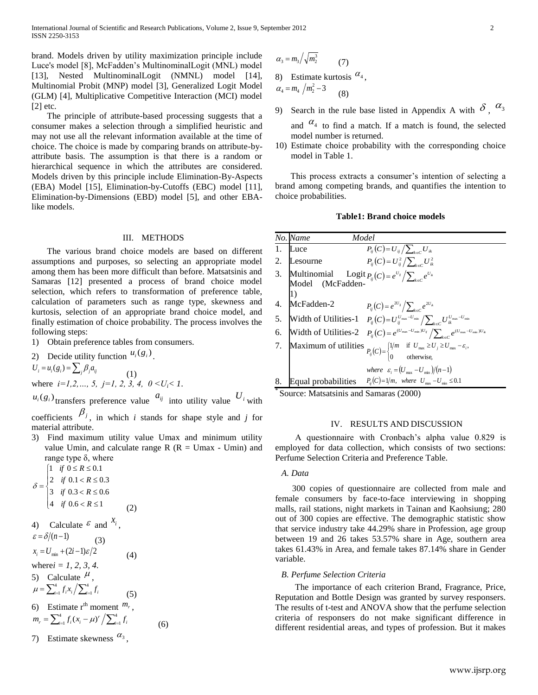brand. Models driven by utility maximization principle include Luce's model [8], McFadden's MultinominalLogit (MNL) model [13], Nested MultinominalLogit (NMNL) model [14], Multinomial Probit (MNP) model [3], Generalized Logit Model (GLM) [4], Multiplicative Competitive Interaction (MCI) model  $[2]$  etc.

 The principle of attribute-based processing suggests that a consumer makes a selection through a simplified heuristic and may not use all the relevant information available at the time of choice. The choice is made by comparing brands on attribute-byattribute basis. The assumption is that there is a random or hierarchical sequence in which the attributes are considered. Models driven by this principle include Elimination-By-Aspects (EBA) Model [15], Elimination-by-Cutoffs (EBC) model [11], Elimination-by-Dimensions (EBD) model [5], and other EBAlike models.

### III. METHODS

 The various brand choice models are based on different assumptions and purposes, so selecting an appropriate model among them has been more difficult than before. Matsatsinis and Samaras [12] presented a process of brand choice model selection, which refers to transformation of preference table, calculation of parameters such as range type, skewness and kurtosis, selection of an appropriate brand choice model, and finally estimation of choice probability. The process involves the following steps:

1) Obtain preference tables from consumers.

 $(1)$ 

2) Decide utility function  $u_i(g_i)$ .

 $U_i = u_i(g_i) = \sum_j \beta_j a_{ij}$ 

where  $i=1,2,..., 5, j=1, 2, 3, 4, 0 < U_i < 1$ .

 $u_i(g_i)$  transfers preference value  $a_{ij}$  into utility value  $U_i$  with coefficients  $\beta_j$ , in which *i* stands for shape style and *j* for

material attribute.

3) Find maximum utility value Umax and minimum utility value Umin, and calculate range  $R$  ( $R =$  Umax - Umin) and range type  $δ$ , where

$$
\delta = \begin{cases}\n1 & \text{if } 0 \le R \le 0.1 \\
2 & \text{if } 0.1 < R \le 0.3 \\
3 & \text{if } 0.3 < R \le 0.6 \\
4 & \text{if } 0.6 < R \le 1\n\end{cases} \tag{2}
$$

4) Calculate 
$$
\varepsilon
$$
 and  $x_i$ ,  
\n $\varepsilon = \delta/(n-1)$  (3)  
\n $x_i = U_{min} + (2i-1)\varepsilon/2$  (4)  
\nwhere  $i = 1, 2, 3, 4$ .  
\n5) Calculate  $\mu$ ,  
\n $\mu = \sum_{i=1}^{4} f_i x_i / \sum_{i=1}^{4} f_i$  (5)  
\n6) Estimate  $r^{th}$  moment  $m_r$ ,  
\n $m_r = \sum_{i=1}^{4} f_i (x_i - \mu)^r / \sum_{i=1}^{4} f_i$  (6)

7) Estimate skewness  $\alpha_3$ ,

$$
\alpha_3 = m_3 \sqrt{m_2^3} \tag{7}
$$

8) Estimate kurtosis  $\alpha_4$ ,

$$
\alpha_4 = m_4 / m_2^2 - 3 \tag{8}
$$

- 9) Search in the rule base listed in Appendix A with  $\delta$ ,  $\alpha_3$ and  $\alpha_4$  to find a match. If a match is found, the selected model number is returned.
- 10) Estimate choice probability with the corresponding choice model in Table 1.

 This process extracts a consumer's intention of selecting a brand among competing brands, and quantifies the intention to choice probabilities.

## **Table1: Brand choice models**

|    | No. Name<br>Model                  |                                                                                                                                                                                                                                         |
|----|------------------------------------|-----------------------------------------------------------------------------------------------------------------------------------------------------------------------------------------------------------------------------------------|
|    | Luce                               | $P_{ii}(C) = U_{ii}/\sum_{k \in C} U_{ik}$                                                                                                                                                                                              |
|    | 2. Lesourne                        | $P_{ii}(C) = U_{ii}^2 / \sum_{\mu \in C} U_{ik}^2$                                                                                                                                                                                      |
|    | 3. Multinomial<br>Model (McFadden- | Logit $P_{ii}(C) = e^{U_{ij}} / \sum_{u \in C} e^{U_{u}}$                                                                                                                                                                               |
|    | 4. McFadden-2                      | $P_{ii}(C) = e^{2U_{ij}} / \sum_{k \in C} e^{2U_{ik}}$                                                                                                                                                                                  |
|    |                                    | 5. Width of Utilities-1 $P_{ii}(C) = U_{ii}^{U_{\text{max}}-U_{\text{min}}} / \sum_{k \in C} U_{ik}^{U_{\text{max}}-U_{\text{min}}}$                                                                                                    |
| 6. |                                    | Width of Utilities-2 $P_{ii}(C) = e^{(U_{\text{max}}-U_{\text{min}})U_{ij}} / \sum_{\mu \in C} e^{(U_{\text{max}}-U_{\text{min}})U_{ik}}$                                                                                               |
|    |                                    | 7. Maximum of utilities $P_{ij}(C) = \begin{cases} 1/m & \text{if } U_{\text{max}} \ge U_j \ge U_{\text{max}} - \varepsilon_i, \\ 0 & \text{otherwise,} \end{cases}$<br>where $\varepsilon_i = (U_{\text{max}} - U_{\text{min}})/(n-1)$ |
| 8. | Equal probabilities                | $P_{ij}(C)=1/m$ , where $U_{\text{max}}-U_{\text{min}} \leq 0.1$                                                                                                                                                                        |

Source: Matsatsinis and Samaras (2000)

# IV. RESULTS AND DISCUSSION

 A questionnaire with Cronbach's alpha value 0.829 is employed for data collection, which consists of two sections: Perfume Selection Criteria and Preference Table.

#### *A. Data*

 300 copies of questionnaire are collected from male and female consumers by face-to-face interviewing in shopping malls, rail stations, night markets in Tainan and Kaohsiung; 280 out of 300 copies are effective. The demographic statistic show that service industry take 44.29% share in Profession, age group between 19 and 26 takes 53.57% share in Age, southern area takes 61.43% in Area, and female takes 87.14% share in Gender variable.

### *B. Perfume Selection Criteria*

 The importance of each criterion Brand, Fragrance, Price, Reputation and Bottle Design was granted by survey responsers. The results of t-test and ANOVA show that the perfume selection criteria of responsers do not make significant difference in different residential areas, and types of profession. But it makes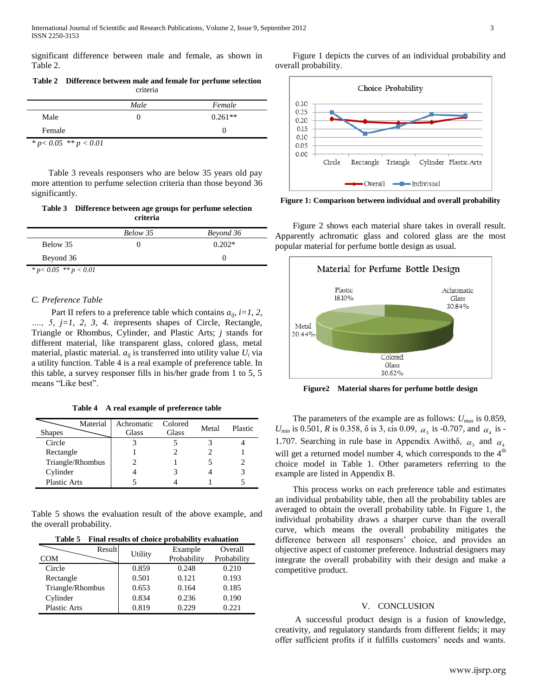significant difference between male and female, as shown in Table 2.

**Table 2 Difference between male and female for perfume selection** criteria

|                            | Male | Female    |
|----------------------------|------|-----------|
| Male                       |      | $0.261**$ |
| Female                     |      |           |
| * $p < 0.05$ ** $p < 0.01$ |      |           |

 Table 3 reveals responsers who are below 35 years old pay more attention to perfume selection criteria than those beyond 36 significantly.

**Table 3 Difference between age groups for perfume selection criteria**

|                  | Below 35 | Beyond 36 |
|------------------|----------|-----------|
| Below 35         |          | $0.202*$  |
| Beyond 36        |          |           |
| .<br>.<br>$\sim$ |          |           |

*\* p< 0.05 \*\* p < 0.01*

# *C. Preference Table*

Part II refers to a preference table which contains  $a_{ij}$ ,  $i=1, 2, 3$ *…., 5*, *j=1, 2, 3, 4. i*represents shapes of Circle, Rectangle, Triangle or Rhombus, Cylinder, and Plastic Arts; *j* stands for different material, like transparent glass, colored glass, metal material, plastic material.  $a_{ij}$  is transferred into utility value  $U_i$  via a utility function. Table 4 is a real example of preference table. In this table, a survey responser fills in his/her grade from 1 to 5, 5 means "Like best".

**Table 4 A real example of preference table**

| Material<br><b>Shapes</b> | Achromatic<br>Glass | Colored<br>Glass | Metal | Plastic |
|---------------------------|---------------------|------------------|-------|---------|
| Circle                    |                     |                  |       |         |
| Rectangle                 |                     |                  |       |         |
| Triangle/Rhombus          |                     |                  |       |         |
| Cylinder                  |                     |                  |       |         |
| <b>Plastic Arts</b>       |                     |                  |       |         |

Table 5 shows the evaluation result of the above example, and the overall probability.

| Table 5 Final results of choice probability evaluation |
|--------------------------------------------------------|
|--------------------------------------------------------|

| Result              |         | Example     | Overall     |  |
|---------------------|---------|-------------|-------------|--|
| <b>COM</b>          | Utility | Probability | Probability |  |
| Circle              | 0.859   | 0.248       | 0.210       |  |
| Rectangle           | 0.501   | 0.121       | 0.193       |  |
| Triangle/Rhombus    | 0.653   | 0.164       | 0.185       |  |
| Cylinder            | 0.834   | 0.236       | 0.190       |  |
| <b>Plastic Arts</b> | 0.819   | 0.229       | 0.221       |  |

 Figure 1 depicts the curves of an individual probability and overall probability.



**Figure 1: Comparison between individual and overall probability**

 Figure 2 shows each material share takes in overall result. Apparently achromatic glass and colored glass are the most popular material for perfume bottle design as usual.



**Figure2 Material shares for perfume bottle design**

 The parameters of the example are as follows: *Umax* is 0.859, *U*<sub>*min*</sub> is 0.501, *R* is 0.358,  $\delta$  is 3, eis 0.09,  $\alpha_3$  is -0.707, and  $\alpha_4$  is -1.707. Searching in rule base in Appendix Awith $\delta$ ,  $\alpha_3$  and  $\alpha_4$ will get a returned model number 4, which corresponds to the 4<sup>th</sup> choice model in Table 1. Other parameters referring to the example are listed in Appendix B.

 This process works on each preference table and estimates an individual probability table, then all the probability tables are averaged to obtain the overall probability table. In Figure 1, the individual probability draws a sharper curve than the overall curve, which means the overall probability mitigates the difference between all responsers' choice, and provides an objective aspect of customer preference. Industrial designers may integrate the overall probability with their design and make a competitive product.

# V. CONCLUSION

 A successful product design is a fusion of knowledge, creativity, and regulatory standards from different fields; it may offer sufficient profits if it fulfills customers' needs and wants.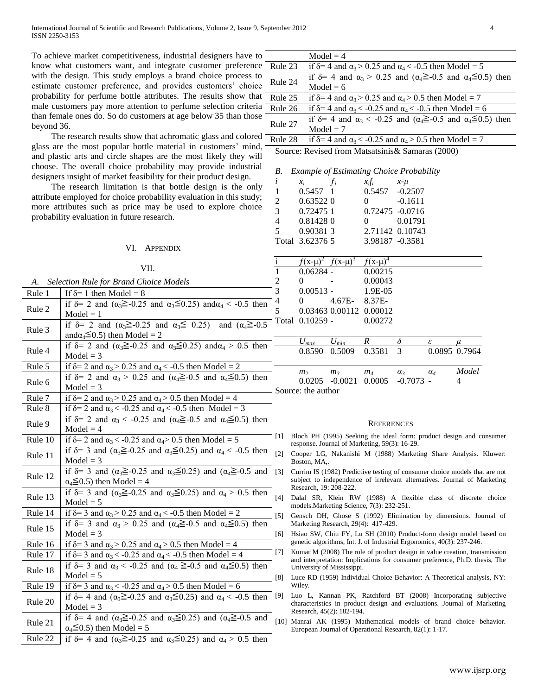To achieve market competitiveness, industrial designers have to know what customers want, and integrate customer preference with the design. This study employs a brand choice process to estimate customer preference, and provides customers' choice probability for perfume bottle attributes. The results show that male customers pay more attention to perfume selection criteria than female ones do. So do customers at age below 35 than those beyond 36.

 The research results show that achromatic glass and colored glass are the most popular bottle material in customers' mind, and plastic arts and circle shapes are the most likely they will choose. The overall choice probability may provide industrial designers insight of market feasibility for their product design.

 The research limitation is that bottle design is the only attribute employed for choice probability evaluation in this study; more attributes such as price may be used to explore choice probability evaluation in future research.

|         | VI. APPENDIX                                                                                                                                 |                     | Total 3.62376 5                                                       |                                   |                            | 3.98187 -0.3581           |            |                                                                                                                                                        |
|---------|----------------------------------------------------------------------------------------------------------------------------------------------|---------------------|-----------------------------------------------------------------------|-----------------------------------|----------------------------|---------------------------|------------|--------------------------------------------------------------------------------------------------------------------------------------------------------|
|         | VII.                                                                                                                                         |                     | $f(x-\mu)^2$                                                          | $f(x-\mu)^3$                      | $f(x-\mu)^4$               |                           |            |                                                                                                                                                        |
|         |                                                                                                                                              | 1                   | $0.06284 -$                                                           |                                   | 0.00215                    |                           |            |                                                                                                                                                        |
| A.      | <b>Selection Rule for Brand Choice Models</b>                                                                                                | $\overline{c}$      | $\overline{0}$                                                        |                                   | 0.00043                    |                           |            |                                                                                                                                                        |
| Rule 1  | If $\delta$ = 1 then Model = 8                                                                                                               | 3                   | $0.00513 -$                                                           |                                   | 1.9E-05                    |                           |            |                                                                                                                                                        |
| Rule 2  | if $\delta$ = 2 and ( $\alpha_3 \ge 0.25$ and $\alpha_3 \le 0.25$ ) and $\alpha_4 < -0.5$ then<br>$Model = 1$                                | $\overline{4}$<br>5 | $\Omega$                                                              | 4.67E-<br>0.03463 0.00112 0.00012 | 8.37E-                     |                           |            |                                                                                                                                                        |
| Rule 3  | if $\delta$ = 2 and $(\alpha_3 \ge 0.25$ and $\alpha_3 \le 0.25$ )<br>and $(\alpha_4 \geq -0.5)$<br>and $\alpha_4 \leq 0.5$ ) then Model = 2 |                     | Total 0.10259 -                                                       |                                   | 0.00272                    |                           |            |                                                                                                                                                        |
| Rule 4  | if $\delta$ = 2 and $(\alpha_3 \ge 0.25$ and $\alpha_3 \le 0.25$ ) and $\alpha_4 > 0.5$ then<br>$Model = 3$                                  |                     | $U_{max}$<br>0.8590                                                   | $U_{min}$<br>0.5009               | $\boldsymbol{R}$<br>0.3581 | δ<br>$\overline{3}$       | ε          | 0.0895 0.7964                                                                                                                                          |
| Rule 5  | if $\delta$ = 2 and $\alpha_3$ > 0.25 and $\alpha_4$ < -0.5 then Model = 2                                                                   |                     |                                                                       |                                   |                            |                           |            |                                                                                                                                                        |
| Rule 6  | if $\delta$ = 2 and $\alpha_3$ > 0.25 and ( $\alpha_4 \ge$ =0.5 and $\alpha_4 \leq$ 0.5) then<br>$Model = 3$                                 |                     | m <sub>2</sub><br>0.0205<br>Source: the author                        | m <sub>3</sub><br>$-0.0021$       | m <sub>4</sub><br>0.0005   | $\alpha_3$<br>$-0.7073 -$ | $\alpha_4$ | Model<br>4                                                                                                                                             |
| Rule 7  | if $\delta$ = 2 and $\alpha_3$ > 0.25 and $\alpha_4$ > 0.5 then Model = 4                                                                    |                     |                                                                       |                                   |                            |                           |            |                                                                                                                                                        |
| Rule 8  | if $\delta$ = 2 and $\alpha_3$ < -0.25 and $\alpha_4$ < -0.5 then Model = 3                                                                  |                     |                                                                       |                                   |                            |                           |            |                                                                                                                                                        |
| Rule 9  | if $\delta$ = 2 and $\alpha_3$ < -0.25 and ( $\alpha_4 \ge$ -0.5 and $\alpha_4 \le$ 0.5) then<br>$Model = 4$                                 |                     |                                                                       |                                   | <b>REFERENCES</b>          |                           |            |                                                                                                                                                        |
| Rule 10 | if $\delta$ = 2 and $\alpha_3$ < -0.25 and $\alpha_4$ > 0.5 then Model = 5                                                                   | [1]                 |                                                                       |                                   |                            |                           |            | Bloch PH (1995) Seeking the ideal form: product design and consumer                                                                                    |
| Rule 11 | if $\delta$ = 3 and ( $\alpha_3 \ge 0.25$ and $\alpha_3 \le 0.25$ ) and $\alpha_4 < -0.5$ then<br>$Model = 3$                                | [2]                 | response. Journal of Marketing, 59(3): 16-29.<br>Boston, MA,.         |                                   |                            |                           |            | Cooper LG, Nakanishi M (1988) Marketing Share Analysis. Kluwer:                                                                                        |
| Rule 12 | if $\delta$ = 3 and ( $\alpha_3 \ge 0.25$ and $\alpha_3 \le 0.25$ ) and ( $\alpha_4 \ge 0.5$ and [3]<br>$\alpha_4 \leq 0.5$ ) then Model = 4 |                     |                                                                       |                                   |                            |                           |            | Currim IS (1982) Predictive testing of consumer choice models that are not<br>subject to independence of irrelevant alternatives. Journal of Marketing |
| Rule 13 | if $\delta$ = 3 and ( $\alpha_3 \ge 0.25$ and $\alpha_3 \le 0.25$ ) and $\alpha_4 > 0.5$ then<br>$Model = 5$                                 | $[4]$               | Research, 19: 208-222.<br>models. Marketing Science, 7(3): 232-251.   |                                   |                            |                           |            | Dalal SR, Klein RW (1988) A flexible class of discrete choice                                                                                          |
| Rule 14 | if $\delta$ = 3 and $\alpha_3$ > 0.25 and $\alpha_4$ < -0.5 then Model = 2                                                                   | [5]                 |                                                                       |                                   |                            |                           |            | Gensch DH, Ghose S (1992) Elimination by dimensions. Journal of                                                                                        |
| Rule 15 | if $\delta$ = 3 and $\alpha_3$ > 0.25 and ( $\alpha_4 \ge 0.5$ and $\alpha_4 \le 0.5$ ) then<br>$Model = 3$                                  | [6]                 | Marketing Research, 29(4): 417-429.                                   |                                   |                            |                           |            | Hsiao SW, Chiu FY, Lu SH (2010) Product-form design model based on                                                                                     |
| Rule 16 | if $\delta$ = 3 and $\alpha_3$ > 0.25 and $\alpha_4$ > 0.5 then Model = 4                                                                    |                     | genetic algorithms, Int. J. of Industrial Ergonomics, 40(3): 237-246. |                                   |                            |                           |            |                                                                                                                                                        |
| Rule 17 | if $\delta$ = 3 and $\alpha_3$ < -0.25 and $\alpha_4$ < -0.5 then Model = 4                                                                  | $\lceil 7 \rceil$   |                                                                       |                                   |                            |                           |            | Kumar M (2008) The role of product design in value creation, transmission                                                                              |
| Rule 18 | if $\delta$ = 3 and $\alpha_3$ < -0.25 and ( $\alpha_4 \ge$ -0.5 and $\alpha_4 \le$ 0.5) then<br>$Model = 5$                                 |                     | University of Mississippi.                                            |                                   |                            |                           |            | and interpretation: Implications for consumer preference, Ph.D. thesis, The                                                                            |
| Rule 19 | if $\delta$ = 3 and $\alpha_3$ < -0.25 and $\alpha_4$ > 0.5 then Model = 6                                                                   | [8]                 | Wiley.                                                                |                                   |                            |                           |            | Luce RD (1959) Individual Choice Behavior: A Theoretical analysis, NY:                                                                                 |
| Rule 20 | if $\delta$ = 4 and ( $\alpha_3 \ge 0.25$ and $\alpha_3 \le 0.25$ ) and $\alpha_4 < -0.5$ then                                               | [9]                 |                                                                       |                                   |                            |                           |            | Luo L, Kannan PK, Ratchford BT (2008) Incorporating subjective<br>characteristics in product design and evaluations. Journal of Marketing              |
|         | $Model = 3$                                                                                                                                  |                     | Research, 45(2): 182-194.                                             |                                   |                            |                           |            |                                                                                                                                                        |
| Rule 21 | if $\delta$ = 4 and ( $\alpha_3 \ge 0.25$ and $\alpha_3 \le 0.25$ ) and ( $\alpha_4 \ge 0.5$ and<br>$\alpha_4 \leq 0.5$ ) then Model = 5     |                     | European Journal of Operational Research, 82(1): 1-17.                |                                   |                            |                           |            | [10] Manrai AK (1995) Mathematical models of brand choice behavior.                                                                                    |
| Rule 22 | if $\delta$ = 4 and ( $\alpha_3 \ge 0.25$ and $\alpha_3 \le 0.25$ ) and $\alpha_4 > 0.5$ then                                                |                     |                                                                       |                                   |                            |                           |            |                                                                                                                                                        |

|         | $Model = 4$                                                                                    |
|---------|------------------------------------------------------------------------------------------------|
| Rule 23 | if $\delta$ = 4 and $\alpha_3$ > 0.25 and $\alpha_4$ < -0.5 then Model = 5                     |
| Rule 24 | if $\delta$ = 4 and $\alpha_3$ > 0.25 and ( $\alpha_4 \ge 0.5$ and $\alpha_4 \le 0.5$ ) then   |
|         | $Model = 6$                                                                                    |
| Rule 25 | if $\delta$ = 4 and $\alpha_3$ > 0.25 and $\alpha_4$ > 0.5 then Model = 7                      |
| Rule 26 | if $\delta$ = 4 and $\alpha_3$ < -0.25 and $\alpha_4$ < -0.5 then Model = 6                    |
| Rule 27 | if $\delta$ = 4 and $\alpha_3$ < -0.25 and ( $\alpha_4 \ge$ -0.5 and $\alpha_4 \leq$ 0.5) then |
|         | $Model = 7$                                                                                    |
| Rule 28 | if $\delta$ = 4 and $\alpha_3$ < -0.25 and $\alpha_4$ > 0.5 then Model = 7                     |

 $x_i f_i$   $x-\mu$ 

Source: Revised from Matsatsinis& Samaras (2000)

*B. Example of Estimating Choice Probability*

 0.5457 1 0.5457 -0.2507 0.63522 0 0 -0.1611 0.72475 1 0.72475 -0.0716 0.81428 0 0 0.01791 0.90381 3 2.71142 0.10743

 $i$   $x_i$   $f_i$   $x_i$